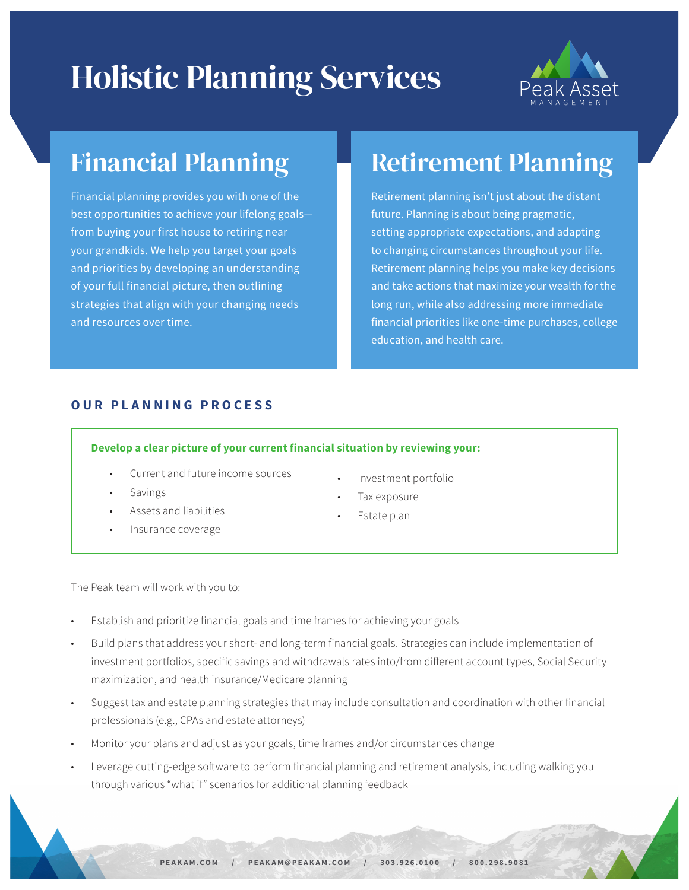# Holistic Planning Services



# Financial Planning

Financial planning provides you with one of the best opportunities to achieve your lifelong goals from buying your first house to retiring near your grandkids. We help you target your goals and priorities by developing an understanding of your full financial picture, then outlining strategies that align with your changing needs and resources over time.

# Retirement Planning

Retirement planning isn't just about the distant future. Planning is about being pragmatic, setting appropriate expectations, and adapting to changing circumstances throughout your life. Retirement planning helps you make key decisions and take actions that maximize your wealth for the long run, while also addressing more immediate financial priorities like one-time purchases, college education, and health care.

### **OUR PLANNING PROCESS**

#### **Develop a clear picture of your current financial situation by reviewing your:**

- Current and future income sources
- **Savings**
- Assets and liabilities
- Insurance coverage
- Investment portfolio
- Tax exposure
- Estate plan

The Peak team will work with you to:

- Establish and prioritize financial goals and time frames for achieving your goals
- Build plans that address your short- and long-term financial goals. Strategies can include implementation of investment portfolios, specific savings and withdrawals rates into/from different account types, Social Security maximization, and health insurance/Medicare planning
- Suggest tax and estate planning strategies that may include consultation and coordination with other financial professionals (e.g., CPAs and estate attorneys)
- Monitor your plans and adjust as your goals, time frames and/or circumstances change
- Leverage cutting-edge software to perform financial planning and retirement analysis, including walking you through various "what if" scenarios for additional planning feedback